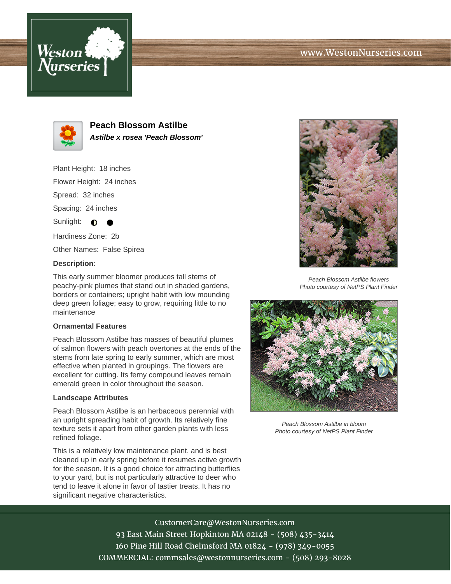# www.WestonNurseries.com





**Peach Blossom Astilbe Astilbe x rosea 'Peach Blossom'**

Plant Height: 18 inches

Flower Height: 24 inches

Spread: 32 inches

Spacing: 24 inches

Sunlight:  $\bullet$ 

Hardiness Zone: 2b

Other Names: False Spirea

### **Description:**

This early summer bloomer produces tall stems of peachy-pink plumes that stand out in shaded gardens, borders or containers; upright habit with low mounding deep green foliage; easy to grow, requiring little to no maintenance

### **Ornamental Features**

Peach Blossom Astilbe has masses of beautiful plumes of salmon flowers with peach overtones at the ends of the stems from late spring to early summer, which are most effective when planted in groupings. The flowers are excellent for cutting. Its ferny compound leaves remain emerald green in color throughout the season.

### **Landscape Attributes**

Peach Blossom Astilbe is an herbaceous perennial with an upright spreading habit of growth. Its relatively fine texture sets it apart from other garden plants with less refined foliage.

This is a relatively low maintenance plant, and is best cleaned up in early spring before it resumes active growth for the season. It is a good choice for attracting butterflies to your yard, but is not particularly attractive to deer who tend to leave it alone in favor of tastier treats. It has no significant negative characteristics.



Peach Blossom Astilbe flowers Photo courtesy of NetPS Plant Finder



Peach Blossom Astilbe in bloom Photo courtesy of NetPS Plant Finder

CustomerCare@WestonNurseries.com 93 East Main Street Hopkinton MA 02148 - (508) 435-3414 160 Pine Hill Road Chelmsford MA 01824 - (978) 349-0055 COMMERCIAL: commsales@westonnurseries.com - (508) 293-8028